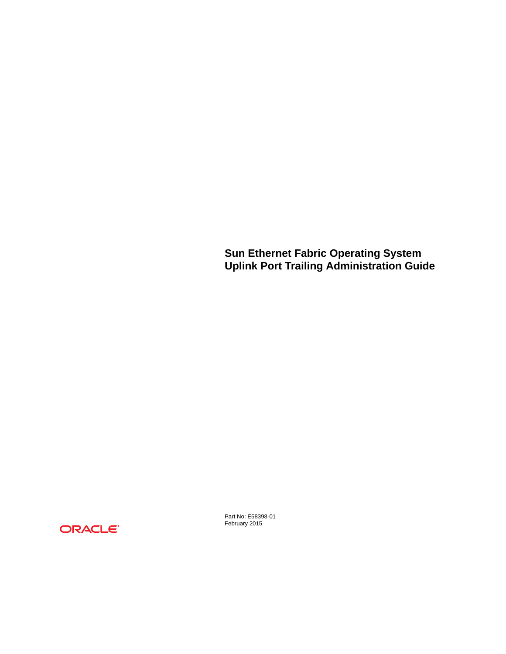**Sun Ethernet Fabric Operating System Uplink Port Trailing Administration Guide**



Part No: E58398-01 February 2015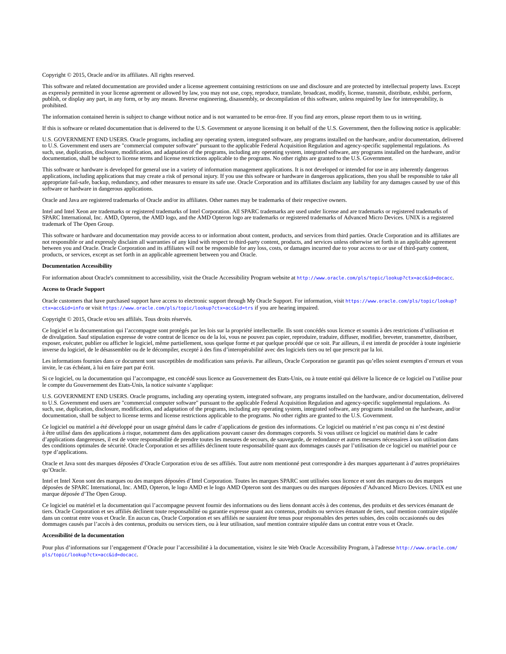Copyright © 2015, Oracle and/or its affiliates. All rights reserved.

This software and related documentation are provided under a license agreement containing restrictions on use and disclosure and are protected by intellectual property laws. Except as expressly permitted in your license agreement or allowed by law, you may not use, copy, reproduce, translate, broadcast, modify, license, transmit, distribute, exhibit, perform,<br>publish, or display any part, in any form .<br>prohibited.

The information contained herein is subject to change without notice and is not warranted to be error-free. If you find any errors, please report them to us in writing.

If this is software or related documentation that is delivered to the U.S. Government or anyone licensing it on behalf of the U.S. Government, then the following notice is applicable:

U.S. GOVERNMENT END USERS. Oracle programs, including any operating system, integrated software, any programs installed on the hardware, and/or documentation, delivered to U.S. Government end users are "commercial computer software" pursuant to the applicable Federal Acquisition Regulation and agency-specific supplemental regulations. As such, use, duplication, disclosure, modification, and adaptation of the programs, including any operating system, integrated software, any programs installed on the hardware, and/or documentation, shall be subject to license terms and license restrictions applicable to the programs. No other rights are granted to the U.S. Government.

This software or hardware is developed for general use in a variety of information management applications. It is not developed or intended for use in any inherently dangerous applications, including applications that may create a risk of personal injury. If you use this software or hardware in dangerous applications, then you shall be responsible to take all appropriate fail-safe, backup, redundancy, and other measures to ensure its safe use. Oracle Corporation and its affiliates disclaim any liability for any damages caused by use of this software or hardware in dangerous applications.

Oracle and Java are registered trademarks of Oracle and/or its affiliates. Other names may be trademarks of their respective owners.

Intel and Intel Xeon are trademarks or registered trademarks of Intel Corporation. All SPARC trademarks are used under license and are trademarks or registered trademarks of SPARC International, Inc. AMD, Opteron, the AMD logo, and the AMD Opteron logo are trademarks or registered trademarks of Advanced Micro Devices. UNIX is a registered trademark of The Open Group.

This software or hardware and documentation may provide access to or information about content, products, and services from third parties. Oracle Corporation and its affiliates are not responsible or and expressly disclaim all warranties of any kind with respect to third-party content, products, and services unless otherwise set forth in an applicable agreement between you and Oracle. Oracle Corporation and its affiliates will not be responsible for any loss, costs, or damages incurred due to your access to or use of third-party content, products, or services, except as set forth in an applicable agreement between you and Oracle.

#### **Documentation Accessibility**

For information about Oracle's commitment to accessibility, visit the Oracle Accessibility Program website at <http://www.oracle.com/pls/topic/lookup?ctx=acc&id=docacc>.

#### **Access to Oracle Support**

Oracle customers that have purchased support have access to electronic support through My Oracle Support. For information, visit [https://www.oracle.com/pls/topic/lookup?](https://www.oracle.com/pls/topic/lookup?ctx=acc&id=info) [ctx=acc&id=info](https://www.oracle.com/pls/topic/lookup?ctx=acc&id=info) or visit <https://www.oracle.com/pls/topic/lookup?ctx=acc&id=trs> if you are hearing impaired.

#### Copyright © 2015, Oracle et/ou ses affiliés. Tous droits réservés.

Ce logiciel et la documentation qui l'accompagne sont protégés par les lois sur la propriété intellectuelle. Ils sont concédés sous licence et soumis à des restrictions d'utilisation et de divulgation. Sauf stipulation expresse de votre contrat de licence ou de la loi, vous ne pouvez pas copier, reproduire, traduire, diffuser, modifier, breveter, transmettre, distribuer,<br>exposer, exécuter, publier ou affi inverse du logiciel, de le désassembler ou de le décompiler, excepté à des fins d'interopérabilité avec des logiciels tiers ou tel que prescrit par la loi.

Les informations fournies dans ce document sont susceptibles de modification sans préavis. Par ailleurs, Oracle Corporation ne garantit pas qu'elles soient exemptes d'erreurs et vous invite, le cas échéant, à lui en faire part par écrit.

Si ce logiciel, ou la documentation qui l'accompagne, est concédé sous licence au Gouvernement des Etats-Unis, ou à toute entité qui délivre la licence de ce logiciel ou l'utilise pour le compte du Gouvernement des Etats-Unis, la notice suivante s'applique:

U.S. GOVERNMENT END USERS. Oracle programs, including any operating system, integrated software, any programs installed on the hardware, and/or documentation, delivered to U.S. Government end users are "commercial computer software" pursuant to the applicable Federal Acquisition Regulation and agency-specific supplemental regulations. As such, use, duplication, disclosure, modification, and adaptation of the programs, including any operating system, integrated software, any programs installed on the hardware, and/or documentation, shall be subject to license terms and license restrictions applicable to the programs. No other rights are granted to the U.S. Government.

Ce logiciel ou matériel a été développé pour un usage général dans le cadre d'applications de gestion des informations. Ce logiciel ou matériel n'est pas conçu ni n'est destiné à être utilisé dans des applications à risque, notamment dans des applications pouvant causer des dommages corporels. Si vous utilisez ce logiciel ou matériel dans le cadre d'applications dangereuses, il est de votre responsabilité de prendre toutes les mesures de secours, de sauvegarde, de redondance et autres mesures nécessaires à son utilisation dans des conditions optimales de sécurité. Oracle Corporation et ses affiliés déclinent toute responsabilité quant aux dommages causés par l'utilisation de ce logiciel ou matériel pour ce type d'applications.

Oracle et Java sont des marques déposées d'Oracle Corporation et/ou de ses affiliés. Tout autre nom mentionné peut correspondre à des marques appartenant à d'autres propriétaires qu'Oracle.

Intel et Intel Xeon sont des marques ou des marques déposées d'Intel Corporation. Toutes les marques SPARC sont utilisées sous licence et sont des marques ou des marques déposées de SPARC International, Inc. AMD, Opteron, le logo AMD et le logo AMD Opteron sont des marques ou des marques déposées d'Advanced Micro Devices. UNIX est une marque déposée d'The Open Group.

Ce logiciel ou matériel et la documentation qui l'accompagne peuvent fournir des informations ou des liens donnant accès à des contenus, des produits et des services émanant de tiers. Oracle Corporation et ses affiliés déclinent toute responsabilité ou garantie expresse quant aux contenus, produits ou services émanant de tiers, sauf mention contraire stipulée<br>dans un contrat entre vous et Oracle. dommages causés par l'accès à des contenus, produits ou services tiers, ou à leur utilisation, sauf mention contraire stipulée dans un contrat entre vous et Oracle.

#### **Accessibilité de la documentation**

Pour plus d'informations sur l'engagement d'Oracle pour l'accessibilité à la documentation, visitez le site Web Oracle Accessibility Program, à l'adresse [http://www.oracle.com/](http://www.oracle.com/pls/topic/lookup?ctx=acc&id=docacc) [pls/topic/lookup?ctx=acc&id=docacc](http://www.oracle.com/pls/topic/lookup?ctx=acc&id=docacc).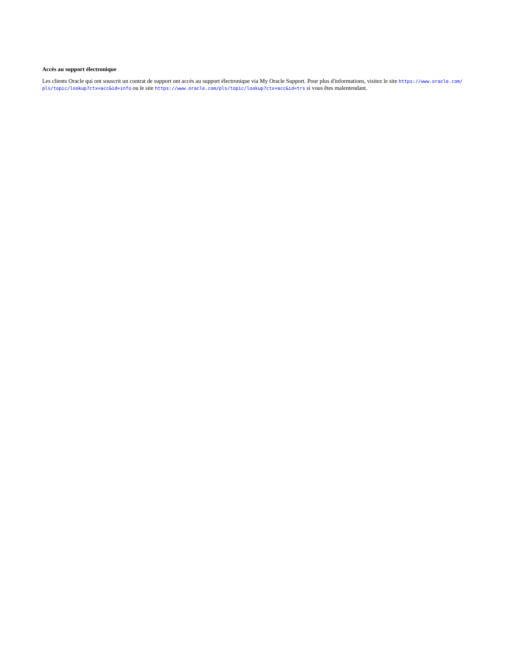#### **Accès au support électronique**

Les clients Oracle qui ont souscrit un contrat de support ont accès au support électronique via My Oracle Support. Pour plus d'informations, visitez le site [https://www.oracle.com/](https://www.oracle.com/pls/topic/lookup?ctx=acc&id=info) [pls/topic/lookup?ctx=acc&id=info](https://www.oracle.com/pls/topic/lookup?ctx=acc&id=info) ou le site <https://www.oracle.com/pls/topic/lookup?ctx=acc&id=trs> si vous êtes malentendant.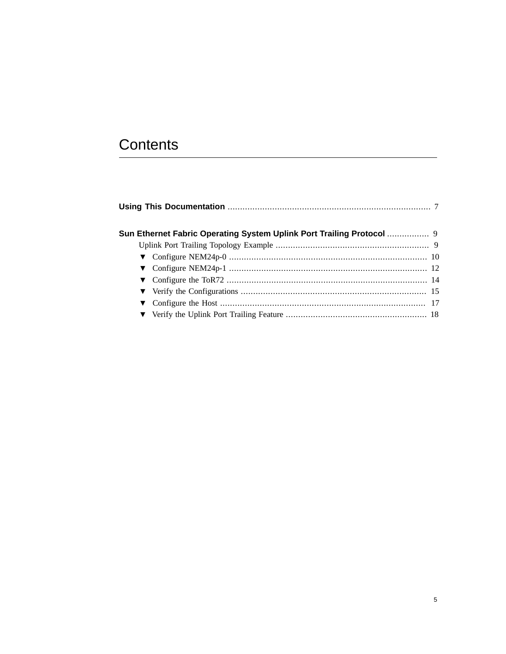# Contents

| Sun Ethernet Fabric Operating System Uplink Port Trailing Protocol  9 |  |
|-----------------------------------------------------------------------|--|
|                                                                       |  |
|                                                                       |  |
|                                                                       |  |
|                                                                       |  |
|                                                                       |  |
|                                                                       |  |
|                                                                       |  |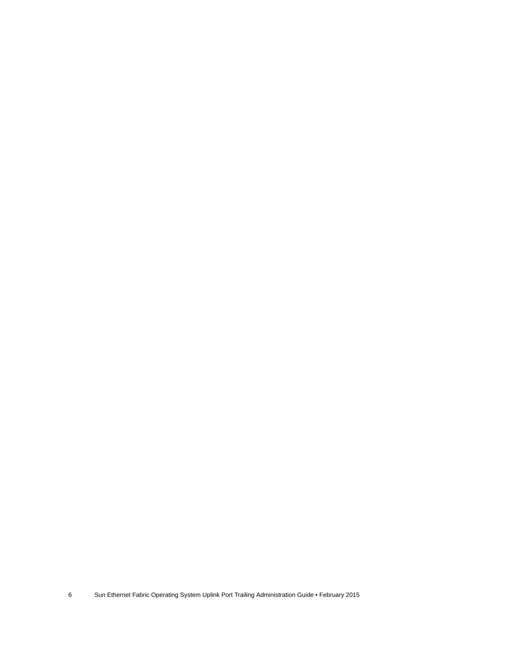Sun Ethernet Fabric Operating System Uplink Port Trailing Administration Guide • February 2015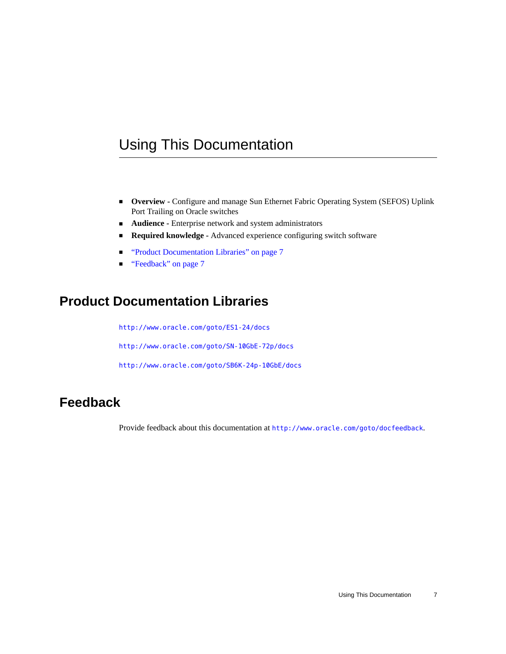# <span id="page-6-0"></span>Using This Documentation

- **Overview** Configure and manage Sun Ethernet Fabric Operating System (SEFOS) Uplink Port Trailing on Oracle switches
- **Audience** Enterprise network and system administrators
- **Required knowledge -** Advanced experience configuring switch software
- ["Product Documentation Libraries" on page 7](#page-6-1)
- ["Feedback" on page 7](#page-6-2)

# <span id="page-6-1"></span>**Product Documentation Libraries**

<http://www.oracle.com/goto/ES1-24/docs>

<http://www.oracle.com/goto/SN-10GbE-72p/docs>

<http://www.oracle.com/goto/SB6K-24p-10GbE/docs>

# <span id="page-6-2"></span>**Feedback**

Provide feedback about this documentation at <http://www.oracle.com/goto/docfeedback>.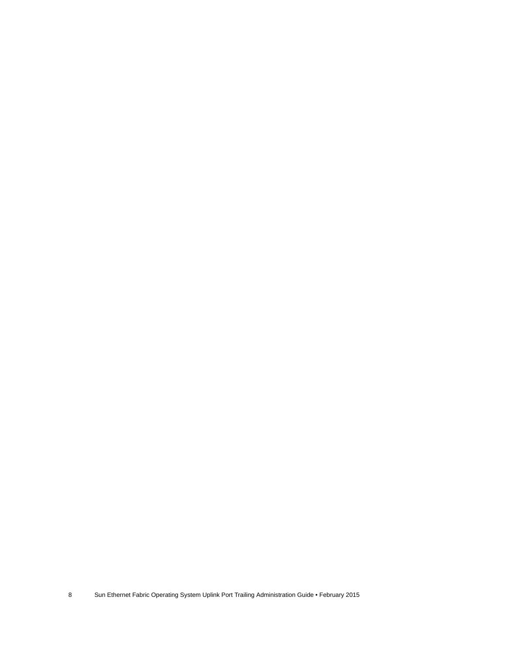8 Sun Ethernet Fabric Operating System Uplink Port Trailing Administration Guide • February 2015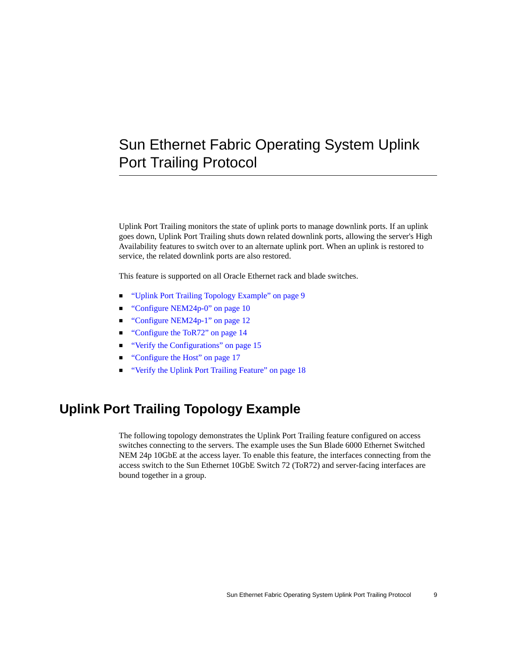# <span id="page-8-0"></span>Sun Ethernet Fabric Operating System Uplink Port Trailing Protocol

Uplink Port Trailing monitors the state of uplink ports to manage downlink ports. If an uplink goes down, Uplink Port Trailing shuts down related downlink ports, allowing the server's High Availability features to switch over to an alternate uplink port. When an uplink is restored to service, the related downlink ports are also restored.

This feature is supported on all Oracle Ethernet rack and blade switches.

- ["Uplink Port Trailing Topology Example" on page 9](#page-8-1)
- ["Configure NEM24p-0" on page 10](#page-9-0)
- ["Configure NEM24p-1" on page 12](#page-11-0)
- ["Configure the ToR72" on page 14](#page-13-0)
- ["Verify the Configurations" on page 15](#page-14-0)
- ["Configure the Host" on page 17](#page-16-0)
- ["Verify the Uplink Port Trailing Feature" on page 18](#page-17-0)

### <span id="page-8-1"></span>**Uplink Port Trailing Topology Example**

The following topology demonstrates the Uplink Port Trailing feature configured on access switches connecting to the servers. The example uses the Sun Blade 6000 Ethernet Switched NEM 24p 10GbE at the access layer. To enable this feature, the interfaces connecting from the access switch to the Sun Ethernet 10GbE Switch 72 (ToR72) and server-facing interfaces are bound together in a group.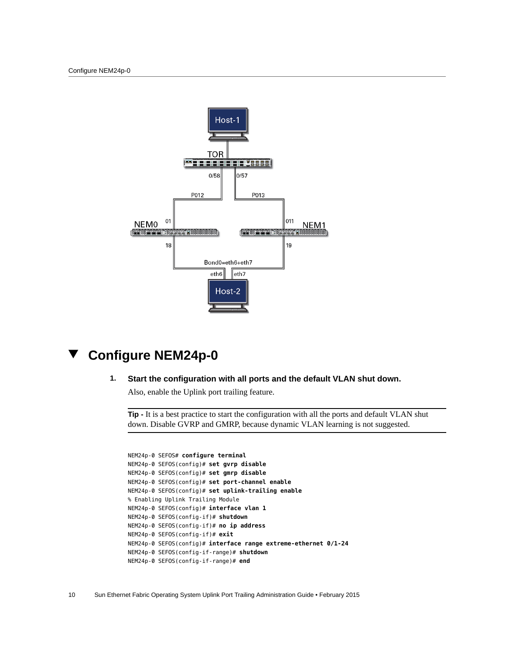

## <span id="page-9-0"></span>**Configure NEM24p-0**

### **1. Start the configuration with all ports and the default VLAN shut down.**

Also, enable the Uplink port trailing feature.

**Tip -** It is a best practice to start the configuration with all the ports and default VLAN shut down. Disable GVRP and GMRP, because dynamic VLAN learning is not suggested.

```
NEM24p-0 SEFOS# configure terminal
NEM24p-0 SEFOS(config)# set gvrp disable
NEM24p-0 SEFOS(config)# set gmrp disable
NEM24p-0 SEFOS(config)# set port-channel enable
NEM24p-0 SEFOS(config)# set uplink-trailing enable
% Enabling Uplink Trailing Module 
NEM24p-0 SEFOS(config)# interface vlan 1
NEM24p-0 SEFOS(config-if)# shutdown
NEM24p-0 SEFOS(config-if)# no ip address
NEM24p-0 SEFOS(config-if)# exit
NEM24p-0 SEFOS(config)# interface range extreme-ethernet 0/1-24
NEM24p-0 SEFOS(config-if-range)# shutdown
NEM24p-0 SEFOS(config-if-range)# end
```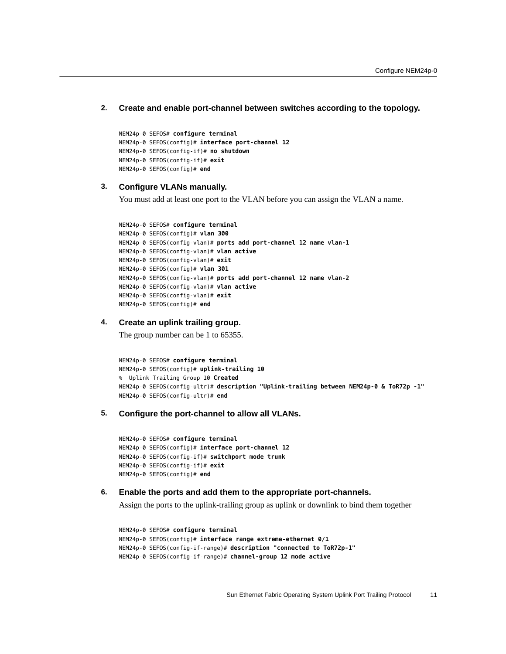**2. Create and enable port-channel between switches according to the topology.**

```
NEM24p-0 SEFOS# configure terminal
NEM24p-0 SEFOS(config)# interface port-channel 12
NEM24p-0 SEFOS(config-if)# no shutdown
NEM24p-0 SEFOS(config-if)# exit
NEM24p-0 SEFOS(config)# end
```
#### **3. Configure VLANs manually.**

You must add at least one port to the VLAN before you can assign the VLAN a name.

```
NEM24p-0 SEFOS# configure terminal
NEM24p-0 SEFOS(config)# vlan 300
NEM24p-0 SEFOS(config-vlan)# ports add port-channel 12 name vlan-1
NEM24p-0 SEFOS(config-vlan)# vlan active
NEM24p-0 SEFOS(config-vlan)# exit
NEM24p-0 SEFOS(config)# vlan 301
NEM24p-0 SEFOS(config-vlan)# ports add port-channel 12 name vlan-2
NEM24p-0 SEFOS(config-vlan)# vlan active
NEM24p-0 SEFOS(config-vlan)# exit
NEM24p-0 SEFOS(config)# end
```
### **4. Create an uplink trailing group.**

The group number can be 1 to 65355.

```
NEM24p-0 SEFOS# configure terminal
NEM24p-0 SEFOS(config)# uplink-trailing 10
% Uplink Trailing Group 10 Created
NEM24p-0 SEFOS(config-ultr)# description "Uplink-trailing between NEM24p-0 & ToR72p -1"
NEM24p-0 SEFOS(config-ultr)# end
```
**5. Configure the port-channel to allow all VLANs.**

```
NEM24p-0 SEFOS# configure terminal
NEM24p-0 SEFOS(config)# interface port-channel 12
NEM24p-0 SEFOS(config-if)# switchport mode trunk
NEM24p-0 SEFOS(config-if)# exit
NEM24p-0 SEFOS(config)# end
```
#### **6. Enable the ports and add them to the appropriate port-channels.**

Assign the ports to the uplink-trailing group as uplink or downlink to bind them together

```
NEM24p-0 SEFOS# configure terminal
NEM24p-0 SEFOS(config)# interface range extreme-ethernet 0/1
NEM24p-0 SEFOS(config-if-range)# description "connected to ToR72p-1"
NEM24p-0 SEFOS(config-if-range)# channel-group 12 mode active
```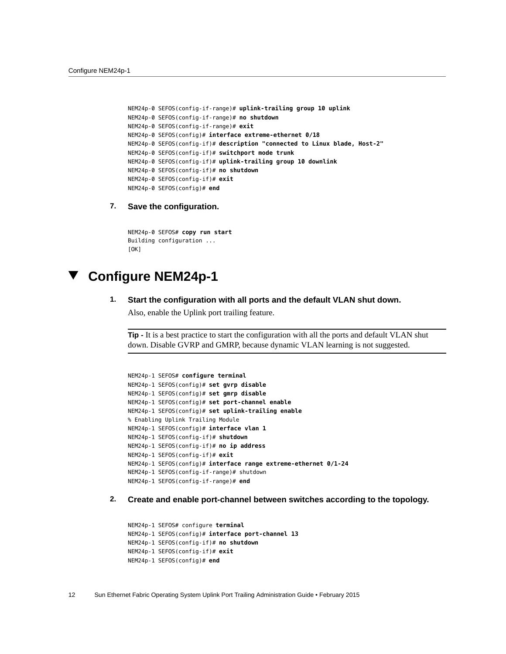```
NEM24p-0 SEFOS(config-if-range)# uplink-trailing group 10 uplink
NEM24p-0 SEFOS(config-if-range)# no shutdown
NEM24p-0 SEFOS(config-if-range)# exit
NEM24p-0 SEFOS(config)# interface extreme-ethernet 0/18
NEM24p-0 SEFOS(config-if)# description "connected to Linux blade, Host-2"
NEM24p-0 SEFOS(config-if)# switchport mode trunk
NEM24p-0 SEFOS(config-if)# uplink-trailing group 10 downlink
NEM24p-0 SEFOS(config-if)# no shutdown
NEM24p-0 SEFOS(config-if)# exit
NEM24p-0 SEFOS(config)# end
```
**7. Save the configuration.**

```
NEM24p-0 SEFOS# copy run start
Building configuration ...
[OK]
```
## <span id="page-11-0"></span>**Configure NEM24p-1**

**1. Start the configuration with all ports and the default VLAN shut down.**

Also, enable the Uplink port trailing feature.

**Tip -** It is a best practice to start the configuration with all the ports and default VLAN shut down. Disable GVRP and GMRP, because dynamic VLAN learning is not suggested.

```
NEM24p-1 SEFOS# configure terminal
NEM24p-1 SEFOS(config)# set gvrp disable
NEM24p-1 SEFOS(config)# set gmrp disable
NEM24p-1 SEFOS(config)# set port-channel enable
NEM24p-1 SEFOS(config)# set uplink-trailing enable
% Enabling Uplink Trailing Module 
NEM24p-1 SEFOS(config)# interface vlan 1
NEM24p-1 SEFOS(config-if)# shutdown
NEM24p-1 SEFOS(config-if)# no ip address
NEM24p-1 SEFOS(config-if)# exit
NEM24p-1 SEFOS(config)# interface range extreme-ethernet 0/1-24
NEM24p-1 SEFOS(config-if-range)# shutdown
NEM24p-1 SEFOS(config-if-range)# end
```
**2. Create and enable port-channel between switches according to the topology.**

```
NEM24p-1 SEFOS# configure terminal
NEM24p-1 SEFOS(config)# interface port-channel 13
NEM24p-1 SEFOS(config-if)# no shutdown
NEM24p-1 SEFOS(config-if)# exit
NEM24p-1 SEFOS(config)# end
```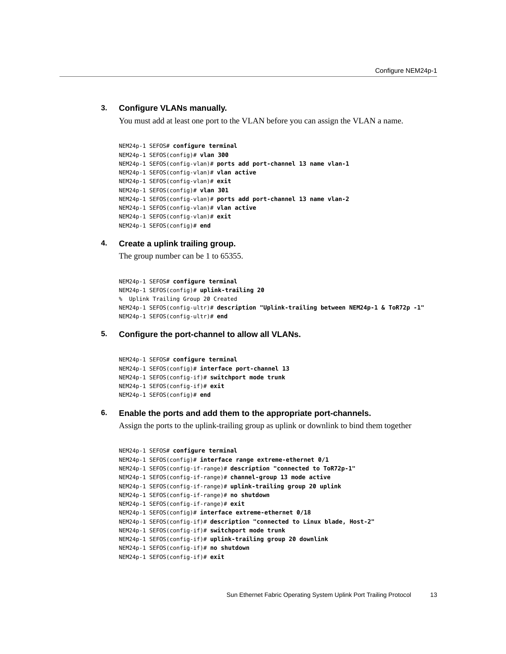#### **3. Configure VLANs manually.**

You must add at least one port to the VLAN before you can assign the VLAN a name.

```
NEM24p-1 SEFOS# configure terminal
NEM24p-1 SEFOS(config)# vlan 300
NEM24p-1 SEFOS(config-vlan)# ports add port-channel 13 name vlan-1
NEM24p-1 SEFOS(config-vlan)# vlan active
NEM24p-1 SEFOS(config-vlan)# exit
NEM24p-1 SEFOS(config)# vlan 301
NEM24p-1 SEFOS(config-vlan)# ports add port-channel 13 name vlan-2
NEM24p-1 SEFOS(config-vlan)# vlan active
NEM24p-1 SEFOS(config-vlan)# exit
NEM24p-1 SEFOS(config)# end
```
#### **4. Create a uplink trailing group.**

The group number can be 1 to 65355.

```
NEM24p-1 SEFOS# configure terminal
NEM24p-1 SEFOS(config)# uplink-trailing 20
% Uplink Trailing Group 20 Created
NEM24p-1 SEFOS(config-ultr)# description "Uplink-trailing between NEM24p-1 & ToR72p -1"
NEM24p-1 SEFOS(config-ultr)# end
```
#### **5. Configure the port-channel to allow all VLANs.**

```
NEM24p-1 SEFOS# configure terminal
NEM24p-1 SEFOS(config)# interface port-channel 13
NEM24p-1 SEFOS(config-if)# switchport mode trunk
NEM24p-1 SEFOS(config-if)# exit
NEM24p-1 SEFOS(config)# end
```
#### **6. Enable the ports and add them to the appropriate port-channels.**

Assign the ports to the uplink-trailing group as uplink or downlink to bind them together

```
NEM24p-1 SEFOS# configure terminal
NEM24p-1 SEFOS(config)# interface range extreme-ethernet 0/1
NEM24p-1 SEFOS(config-if-range)# description "connected to ToR72p-1"
NEM24p-1 SEFOS(config-if-range)# channel-group 13 mode active
NEM24p-1 SEFOS(config-if-range)# uplink-trailing group 20 uplink
NEM24p-1 SEFOS(config-if-range)# no shutdown
NEM24p-1 SEFOS(config-if-range)# exit
NEM24p-1 SEFOS(config)# interface extreme-ethernet 0/18
NEM24p-1 SEFOS(config-if)# description "connected to Linux blade, Host-2"
NEM24p-1 SEFOS(config-if)# switchport mode trunk
NEM24p-1 SEFOS(config-if)# uplink-trailing group 20 downlink
NEM24p-1 SEFOS(config-if)# no shutdown
NEM24p-1 SEFOS(config-if)# exit
```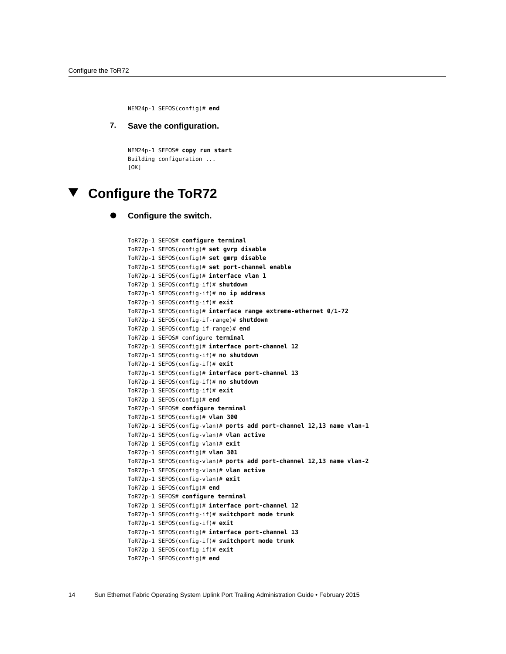NEM24p-1 SEFOS(config)# **end**

**7. Save the configuration.**

```
NEM24p-1 SEFOS# copy run start
Building configuration ...
[OK]
```
# <span id="page-13-0"></span>**Configure the ToR72**

**Configure the switch.**

```
ToR72p-1 SEFOS# configure terminal
ToR72p-1 SEFOS(config)# set gvrp disable
ToR72p-1 SEFOS(config)# set gmrp disable
ToR72p-1 SEFOS(config)# set port-channel enable
ToR72p-1 SEFOS(config)# interface vlan 1
ToR72p-1 SEFOS(config-if)# shutdown
ToR72p-1 SEFOS(config-if)# no ip address
ToR72p-1 SEFOS(config-if)# exit
ToR72p-1 SEFOS(config)# interface range extreme-ethernet 0/1-72
ToR72p-1 SEFOS(config-if-range)# shutdown
ToR72p-1 SEFOS(config-if-range)# end
ToR72p-1 SEFOS# configure terminal
ToR72p-1 SEFOS(config)# interface port-channel 12
ToR72p-1 SEFOS(config-if)# no shutdown
ToR72p-1 SEFOS(config-if)# exit
ToR72p-1 SEFOS(config)# interface port-channel 13
ToR72p-1 SEFOS(config-if)# no shutdown
ToR72p-1 SEFOS(config-if)# exit
ToR72p-1 SEFOS(config)# end
ToR72p-1 SEFOS# configure terminal
ToR72p-1 SEFOS(config)# vlan 300
ToR72p-1 SEFOS(config-vlan)# ports add port-channel 12,13 name vlan-1
ToR72p-1 SEFOS(config-vlan)# vlan active
ToR72p-1 SEFOS(config-vlan)# exit
ToR72p-1 SEFOS(config)# vlan 301
ToR72p-1 SEFOS(config-vlan)# ports add port-channel 12,13 name vlan-2
ToR72p-1 SEFOS(config-vlan)# vlan active
ToR72p-1 SEFOS(config-vlan)# exit
ToR72p-1 SEFOS(config)# end
ToR72p-1 SEFOS# configure terminal
ToR72p-1 SEFOS(config)# interface port-channel 12
ToR72p-1 SEFOS(config-if)# switchport mode trunk
ToR72p-1 SEFOS(config-if)# exit
ToR72p-1 SEFOS(config)# interface port-channel 13
ToR72p-1 SEFOS(config-if)# switchport mode trunk
ToR72p-1 SEFOS(config-if)# exit
ToR72p-1 SEFOS(config)# end
```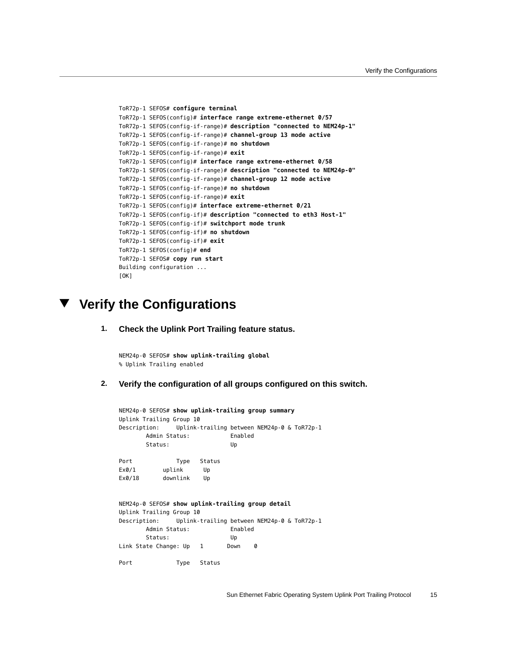```
ToR72p-1 SEFOS# configure terminal
ToR72p-1 SEFOS(config)# interface range extreme-ethernet 0/57
ToR72p-1 SEFOS(config-if-range)# description "connected to NEM24p-1"
ToR72p-1 SEFOS(config-if-range)# channel-group 13 mode active
ToR72p-1 SEFOS(config-if-range)# no shutdown
ToR72p-1 SEFOS(config-if-range)# exit
ToR72p-1 SEFOS(config)# interface range extreme-ethernet 0/58
ToR72p-1 SEFOS(config-if-range)# description "connected to NEM24p-0"
ToR72p-1 SEFOS(config-if-range)# channel-group 12 mode active
ToR72p-1 SEFOS(config-if-range)# no shutdown
ToR72p-1 SEFOS(config-if-range)# exit
ToR72p-1 SEFOS(config)# interface extreme-ethernet 0/21
ToR72p-1 SEFOS(config-if)# description "connected to eth3 Host-1"
ToR72p-1 SEFOS(config-if)# switchport mode trunk
ToR72p-1 SEFOS(config-if)# no shutdown
ToR72p-1 SEFOS(config-if)# exit
ToR72p-1 SEFOS(config)# end
ToR72p-1 SEFOS# copy run start
Building configuration ...
[OK]
```
### <span id="page-14-0"></span> $\blacktriangledown$

### **Verify the Configurations**

**1. Check the Uplink Port Trailing feature status.**

NEM24p-0 SEFOS# **show uplink-trailing global** % Uplink Trailing enabled

**2. Verify the configuration of all groups configured on this switch.**

```
NEM24p-0 SEFOS# show uplink-trailing group summary
Uplink Trailing Group 10
Description: Uplink-trailing between NEM24p-0 & ToR72p-1
       Admin Status: Enabled
       Status: Up 
Port Type Status
Ex0/1 uplink Up 
Ex0/18 downlink Up 
NEM24p-0 SEFOS# show uplink-trailing group detail
Uplink Trailing Group 10
Description: Uplink-trailing between NEM24p-0 & ToR72p-1
       Admin Status: Enabled
       Status: Up 
Link State Change: Up 1 Down 0
```
Port Type Status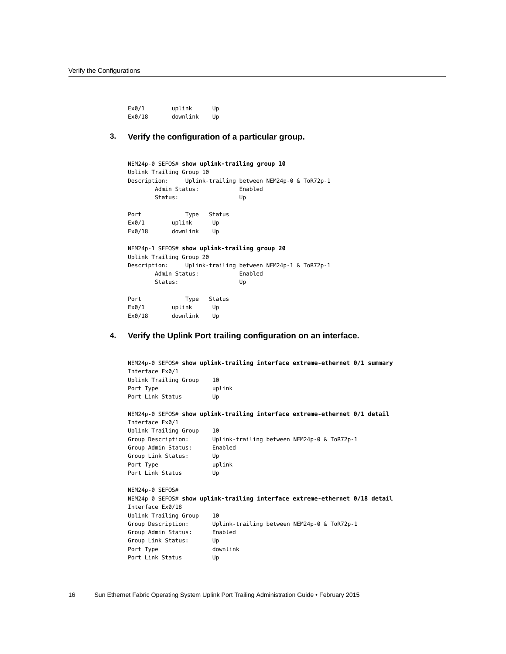Ex0/1 uplink Up Ex0/18 downlink Up

### **3. Verify the configuration of a particular group.**

```
NEM24p-0 SEFOS# show uplink-trailing group 10
Uplink Trailing Group 10
Description: Uplink-trailing between NEM24p-0 & ToR72p-1
       Admin Status: Enabled
       Status: Up 
Port Type Status<br>Ex0/1 uplink Up
Ex0/1 uplink
Ex0/18 downlink Up 
NEM24p-1 SEFOS# show uplink-trailing group 20
Uplink Trailing Group 20
Description: Uplink-trailing between NEM24p-1 & ToR72p-1
      Admin Status:
       Status: Up
Port Type Status
Ex0/1 uplink Up<br>Ex0/18 downlink Up
          downlink Up
```
### **4. Verify the Uplink Port trailing configuration on an interface.**

|                       |                                             | NEM24p-0 SEFOS# show uplink-trailing interface extreme-ethernet 0/1 summary |
|-----------------------|---------------------------------------------|-----------------------------------------------------------------------------|
| Interface Ex0/1       |                                             |                                                                             |
| Uplink Trailing Group | 10                                          |                                                                             |
| Port Type             | uplink                                      |                                                                             |
| Port Link Status      | Up                                          |                                                                             |
|                       |                                             |                                                                             |
|                       |                                             | NEM24p-0 SEFOS# show uplink-trailing interface extreme-ethernet 0/1 detail  |
| Interface Ex0/1       |                                             |                                                                             |
| Uplink Trailing Group | 10                                          |                                                                             |
| Group Description:    | Uplink-trailing between NEM24p-0 & ToR72p-1 |                                                                             |
| Group Admin Status:   | Enabled                                     |                                                                             |
| Group Link Status:    | Up                                          |                                                                             |
| Port Type             | uplink                                      |                                                                             |
| Port Link Status      | Up                                          |                                                                             |
| NEM24p-0 SEFOS#       |                                             |                                                                             |
|                       |                                             | NEM24p-0 SEFOS# show uplink-trailing interface extreme-ethernet 0/18 detail |
| Interface Ex0/18      |                                             |                                                                             |
| Uplink Trailing Group | 10                                          |                                                                             |
| Group Description:    | Uplink-trailing between NEM24p-0 & ToR72p-1 |                                                                             |
|                       |                                             |                                                                             |
| Group Admin Status:   | Enabled                                     |                                                                             |
| Group Link Status:    | Up                                          |                                                                             |
| Port Type             | downlink                                    |                                                                             |
| Port Link Status      | Up                                          |                                                                             |
|                       |                                             |                                                                             |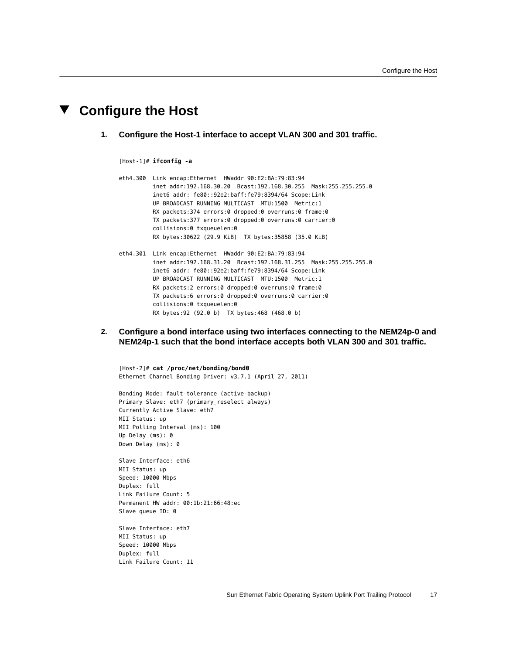### <span id="page-16-0"></span>**Configure the Host**

**1. Configure the Host-1 interface to accept VLAN 300 and 301 traffic.**

[Host-1]# **ifconfig -a**

- eth4.300 Link encap:Ethernet HWaddr 90:E2:BA:79:83:94 inet addr:192.168.30.20 Bcast:192.168.30.255 Mask:255.255.255.0 inet6 addr: fe80::92e2:baff:fe79:8394/64 Scope:Link UP BROADCAST RUNNING MULTICAST MTU:1500 Metric:1 RX packets:374 errors:0 dropped:0 overruns:0 frame:0 TX packets:377 errors:0 dropped:0 overruns:0 carrier:0 collisions:0 txqueuelen:0 RX bytes:30622 (29.9 KiB) TX bytes:35858 (35.0 KiB) eth4.301 Link encap:Ethernet HWaddr 90:E2:BA:79:83:94 inet addr:192.168.31.20 Bcast:192.168.31.255 Mask:255.255.255.0 inet6 addr: fe80::92e2:baff:fe79:8394/64 Scope:Link UP BROADCAST RUNNING MULTICAST MTU:1500 Metric:1
	- RX packets:2 errors:0 dropped:0 overruns:0 frame:0 TX packets:6 errors:0 dropped:0 overruns:0 carrier:0 collisions:0 txqueuelen:0 RX bytes:92 (92.0 b) TX bytes:468 (468.0 b)
- **2. Configure a bond interface using two interfaces connecting to the NEM24p-0 and NEM24p-1 such that the bond interface accepts both VLAN 300 and 301 traffic.**

[Host-2]# **cat /proc/net/bonding/bond0** Ethernet Channel Bonding Driver: v3.7.1 (April 27, 2011) Bonding Mode: fault-tolerance (active-backup) Primary Slave: eth7 (primary\_reselect always) Currently Active Slave: eth7 MII Status: up MII Polling Interval (ms): 100 Up Delay (ms): 0 Down Delay (ms): 0 Slave Interface: eth6 MII Status: up Speed: 10000 Mbps Duplex: full Link Failure Count: 5 Permanent HW addr: 00:1b:21:66:48:ec Slave queue ID: 0

Slave Interface: eth7 MII Status: up Speed: 10000 Mbps Duplex: full Link Failure Count: 11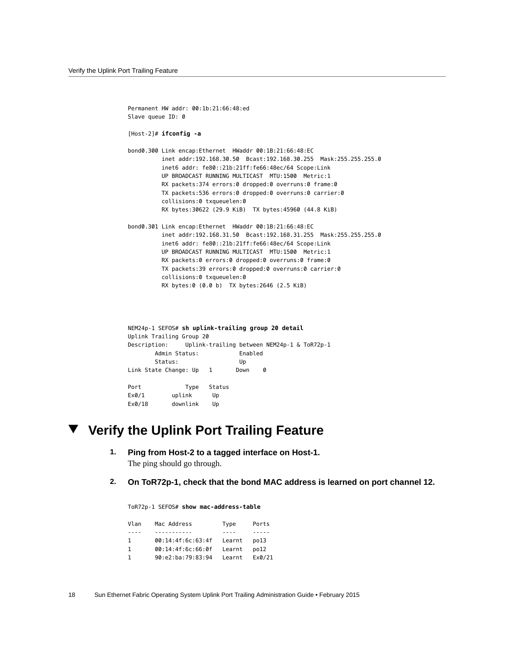```
Permanent HW addr: 00:1b:21:66:48:ed
Slave queue ID: 0
[Host-2]# ifconfig -a
bond0.300 Link encap:Ethernet HWaddr 00:1B:21:66:48:EC
          inet addr:192.168.30.50 Bcast:192.168.30.255 Mask:255.255.255.0
          inet6 addr: fe80::21b:21ff:fe66:48ec/64 Scope:Link
          UP BROADCAST RUNNING MULTICAST MTU:1500 Metric:1
          RX packets:374 errors:0 dropped:0 overruns:0 frame:0
          TX packets:536 errors:0 dropped:0 overruns:0 carrier:0
          collisions:0 txqueuelen:0
          RX bytes:30622 (29.9 KiB) TX bytes:45960 (44.8 KiB)
bond0.301 Link encap:Ethernet HWaddr 00:1B:21:66:48:EC
          inet addr:192.168.31.50 Bcast:192.168.31.255 Mask:255.255.255.0
          inet6 addr: fe80::21b:21ff:fe66:48ec/64 Scope:Link
          UP BROADCAST RUNNING MULTICAST MTU:1500 Metric:1
          RX packets:0 errors:0 dropped:0 overruns:0 frame:0
          TX packets:39 errors:0 dropped:0 overruns:0 carrier:0
          collisions:0 txqueuelen:0
          RX bytes:0 (0.0 b) TX bytes:2646 (2.5 KiB)
NEM24p-1 SEFOS# sh uplink-trailing group 20 detail
Uplink Trailing Group 20
Description: Uplink-trailing between NEM24p-1 & ToR72p-1
        Admin Status: Enabled
        Status: Up 
Link State Change: Up 1 Down 0
Port Type Status
```
### <span id="page-17-0"></span>**Verify the Uplink Port Trailing Feature**

downlink Up

Ex0/1 uplink Up<br>Ex0/18 downlink Up

- **1. Ping from Host-2 to a tagged interface on Host-1.** The ping should go through.
- **2. On ToR72p-1, check that the bond MAC address is learned on port channel 12.**

ToR72p-1 SEFOS# **show mac-address-table**

| Vlan | Mac Address            | Type   | Ports  |
|------|------------------------|--------|--------|
|      | ---------              |        |        |
| -1   | 00:14:4f:6c:63:4f      | Learnt | po13   |
| -1   | 00:14:4f:6c:66:0f      | Learnt | po 12  |
| -1   | 90: e2: ba: 79: 83: 94 | Learnt | Ex0/21 |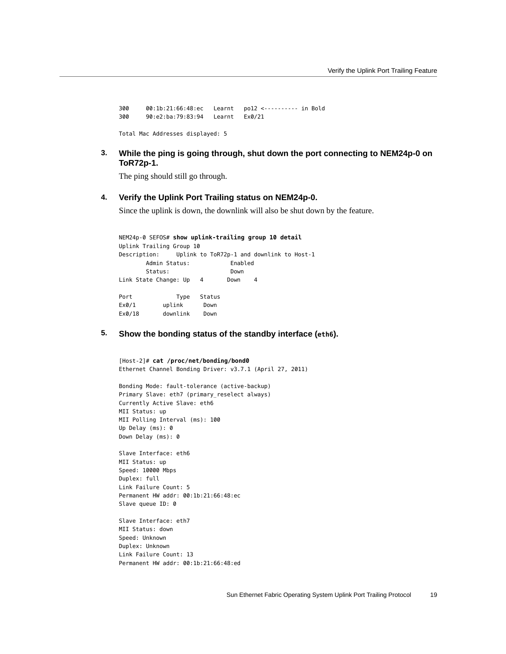300 00:1b:21:66:48:ec Learnt po12 <---------- in Bold 300 90:e2:ba:79:83:94 Learnt Ex0/21 Total Mac Addresses displayed: 5

**3. While the ping is going through, shut down the port connecting to NEM24p-0 on ToR72p-1.**

The ping should still go through.

**4. Verify the Uplink Port Trailing status on NEM24p-0.**

Since the uplink is down, the downlink will also be shut down by the feature.

NEM24p-0 SEFOS# **show uplink-trailing group 10 detail** Uplink Trailing Group 10 Description: Uplink to ToR72p-1 and downlink to Host-1 Admin Status: Enabled Status: Down<br>ate Change: Up 4 Down Link State Change: Up 4 Down 4 Port Type Status Ex0/1 uplink Down Ex0/18 downlink Down

### **5. Show the bonding status of the standby interface (eth6).**

```
[Host-2]# cat /proc/net/bonding/bond0
Ethernet Channel Bonding Driver: v3.7.1 (April 27, 2011)
Bonding Mode: fault-tolerance (active-backup)
Primary Slave: eth7 (primary reselect always)
Currently Active Slave: eth6
MII Status: up
MII Polling Interval (ms): 100
Up Delay (ms): 0
Down Delay (ms): 0
Slave Interface: eth6
MII Status: up
Speed: 10000 Mbps
Duplex: full
Link Failure Count: 5
Permanent HW addr: 00:1b:21:66:48:ec
Slave queue ID: 0
Slave Interface: eth7
MII Status: down
Speed: Unknown
Duplex: Unknown
Link Failure Count: 13
Permanent HW addr: 00:1b:21:66:48:ed
```